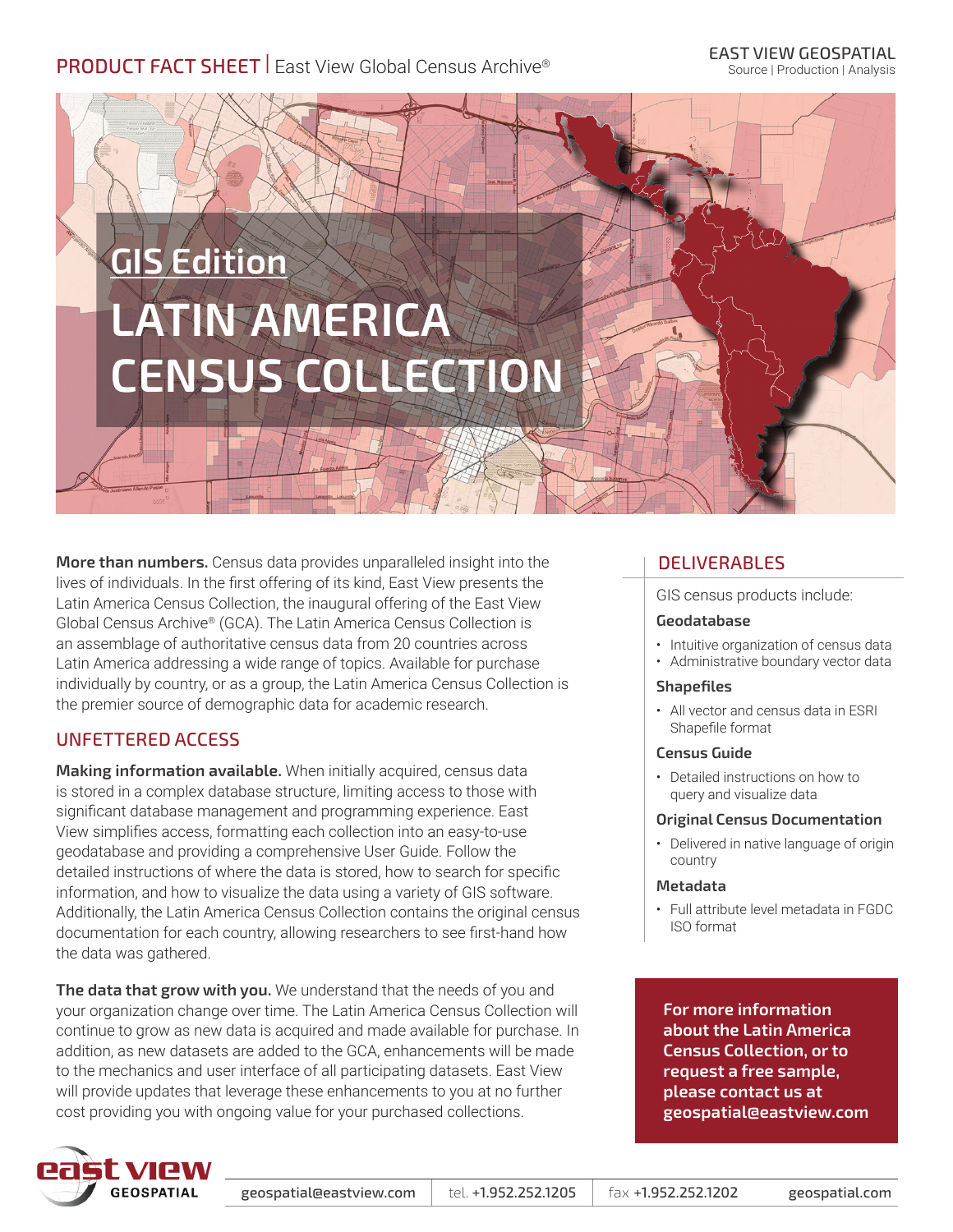## PRODUCT FACT SHEET | East View Global Census Archive®

# **GIS Edition LATIN AMERICA CENSUS COLLECTION**

**More than numbers.** Census data provides unparalleled insight into the lives of individuals. In the first offering of its kind, East View presents the Latin America Census Collection, the inaugural offering of the East View Global Census Archive® (GCA). The Latin America Census Collection is an assemblage of authoritative census data from 20 countries across Latin America addressing a wide range of topics. Available for purchase individually by country, or as a group, the Latin America Census Collection is the premier source of demographic data for academic research.

## UNFETTERED ACCESS

**Making information available.** When initially acquired, census data is stored in a complex database structure, limiting access to those with significant database management and programming experience. East View simplifies access, formatting each collection into an easy-to-use geodatabase and providing a comprehensive User Guide. Follow the detailed instructions of where the data is stored, how to search for specific information, and how to visualize the data using a variety of GIS software. Additionally, the Latin America Census Collection contains the original census documentation for each country, allowing researchers to see first-hand how the data was gathered.

**The data that grow with you.** We understand that the needs of you and your organization change over time. The Latin America Census Collection will continue to grow as new data is acquired and made available for purchase. In addition, as new datasets are added to the GCA, enhancements will be made to the mechanics and user interface of all participating datasets. East View will provide updates that leverage these enhancements to you at no further cost providing you with ongoing value for your purchased collections.

### DELIVERABLES

GIS census products include:

#### **Geodatabase**

- Intuitive organization of census data
- Administrative boundary vector data

#### **Shapefiles**

• All vector and census data in ESRI Shapefile format

#### **Census Guide**

• Detailed instructions on how to query and visualize data

#### **Original Census Documentation**

• Delivered in native language of origin country

#### **Metadata**

• Full attribute level metadata in FGDC ISO format

**For more information about the Latin America Census Collection, or to request a free sample, please contact us at geospatial@eastview.com**